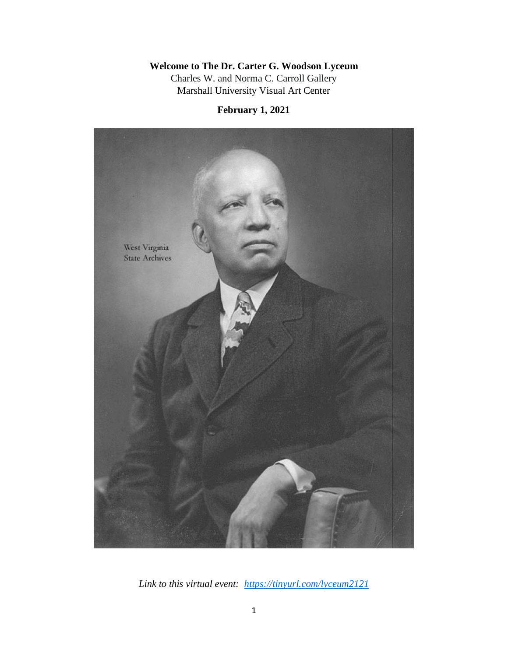# **Welcome to The Dr. Carter G. Woodson Lyceum**

Charles W. and Norma C. Carroll Gallery Marshall University Visual Art Center

**February 1, 2021**



*Link to this virtual event: <https://tinyurl.com/lyceum2121>*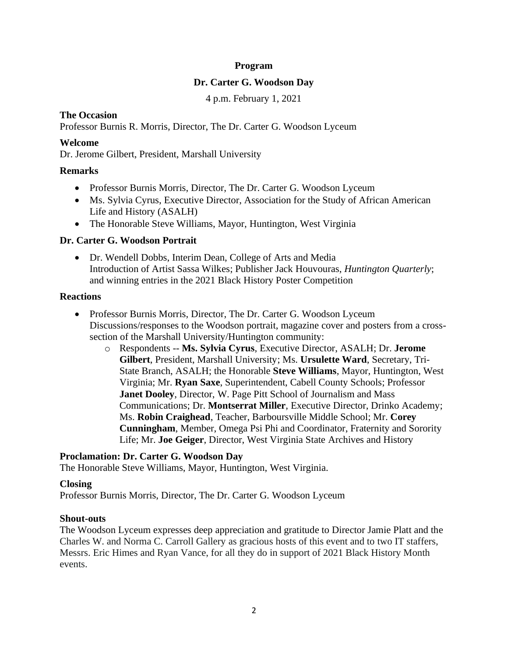## **Program**

#### **Dr. Carter G. Woodson Day**

4 p.m. February 1, 2021

# **The Occasion**

Professor Burnis R. Morris, Director, The Dr. Carter G. Woodson Lyceum

#### **Welcome**

Dr. Jerome Gilbert, President, Marshall University

## **Remarks**

- Professor Burnis Morris, Director, The Dr. Carter G. Woodson Lyceum
- Ms. Sylvia Cyrus, Executive Director, Association for the Study of African American Life and History (ASALH)
- The Honorable Steve Williams, Mayor, Huntington, West Virginia

## **Dr. Carter G. Woodson Portrait**

• Dr. Wendell Dobbs, Interim Dean, College of Arts and Media Introduction of Artist Sassa Wilkes; Publisher Jack Houvouras, *Huntington Quarterly*; and winning entries in the 2021 Black History Poster Competition

#### **Reactions**

- Professor Burnis Morris, Director, The Dr. Carter G. Woodson Lyceum Discussions/responses to the Woodson portrait, magazine cover and posters from a crosssection of the Marshall University/Huntington community:
	- o Respondents -- **Ms. Sylvia Cyrus**, Executive Director, ASALH; Dr. **Jerome Gilbert**, President, Marshall University; Ms. **Ursulette Ward**, Secretary, Tri-State Branch, ASALH; the Honorable **Steve Williams**, Mayor, Huntington, West Virginia; Mr. **Ryan Saxe**, Superintendent, Cabell County Schools; Professor **Janet Dooley**, Director, W. Page Pitt School of Journalism and Mass Communications; Dr. **Montserrat Miller**, Executive Director, Drinko Academy; Ms. **Robin Craighead**, Teacher, Barboursville Middle School; Mr. **Corey Cunningham**, Member, Omega Psi Phi and Coordinator, Fraternity and Sorority Life; Mr. **Joe Geiger**, Director, West Virginia State Archives and History

## **Proclamation: Dr. Carter G. Woodson Day**

The Honorable Steve Williams, Mayor, Huntington, West Virginia.

#### **Closing**

Professor Burnis Morris, Director, The Dr. Carter G. Woodson Lyceum

#### **Shout-outs**

The Woodson Lyceum expresses deep appreciation and gratitude to Director Jamie Platt and the Charles W. and Norma C. Carroll Gallery as gracious hosts of this event and to two IT staffers, Messrs. Eric Himes and Ryan Vance, for all they do in support of 2021 Black History Month events.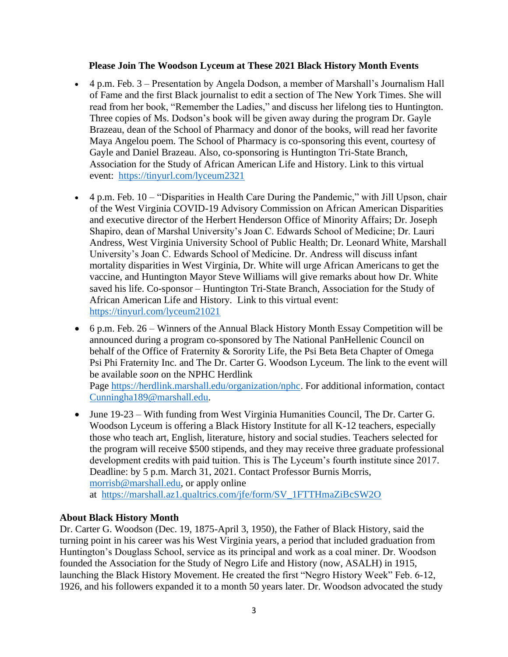## **Please Join The Woodson Lyceum at These 2021 Black History Month Events**

- 4 p.m. Feb. 3 Presentation by Angela Dodson, a member of Marshall's Journalism Hall of Fame and the first Black journalist to edit a section of The New York Times. She will read from her book, "Remember the Ladies," and discuss her lifelong ties to Huntington. Three copies of Ms. Dodson's book will be given away during the program Dr. Gayle Brazeau, dean of the School of Pharmacy and donor of the books, will read her favorite Maya Angelou poem. The School of Pharmacy is co-sponsoring this event, courtesy of Gayle and Daniel Brazeau. Also, co-sponsoring is Huntington Tri-State Branch, Association for the Study of African American Life and History. Link to this virtual event: <https://tinyurl.com/lyceum2321>
- 4 p.m. Feb. 10 "Disparities in Health Care During the Pandemic," with Jill Upson, chair of the West Virginia COVID-19 Advisory Commission on African American Disparities and executive director of the Herbert Henderson Office of Minority Affairs; Dr. Joseph Shapiro, dean of Marshal University's Joan C. Edwards School of Medicine; Dr. Lauri Andress, West Virginia University School of Public Health; Dr. Leonard White, Marshall University's Joan C. Edwards School of Medicine. Dr. Andress will discuss infant mortality disparities in West Virginia, Dr. White will urge African Americans to get the vaccine, and Huntington Mayor Steve Williams will give remarks about how Dr. White saved his life. Co-sponsor – Huntington Tri-State Branch, Association for the Study of African American Life and History. Link to this virtual event: <https://tinyurl.com/lyceum21021>
- 6 p.m. Feb. 26 Winners of the Annual Black History Month Essay Competition will be announced during a program co-sponsored by The National PanHellenic Council on behalf of the Office of Fraternity & Sorority Life, the Psi Beta Beta Chapter of Omega Psi Phi Fraternity Inc. and The Dr. Carter G. Woodson Lyceum. The link to the event will be available *soon* on the NPHC Herdlink Page [https://herdlink.marshall.edu/organization/nphc.](https://herdlink.marshall.edu/organization/nphc) For additional information, contact

[Cunningha189@marshall.edu.](mailto:Cunningha189@marshall.edu)

• June 19-23 – With funding from West Virginia Humanities Council, The Dr. Carter G. Woodson Lyceum is offering a Black History Institute for all K-12 teachers, especially those who teach art, English, literature, history and social studies. Teachers selected for the program will receive \$500 stipends, and they may receive three graduate professional development credits with paid tuition. This is The Lyceum's fourth institute since 2017. Deadline: by 5 p.m. March 31, 2021. Contact Professor Burnis Morris, [morrisb@marshall.edu,](mailto:morrisb@marshall.edu) or apply online at [https://marshall.az1.qualtrics.com/jfe/form/SV\\_1FTTHmaZiBcSW2O](https://marshall.az1.qualtrics.com/jfe/form/SV_1FTTHmaZiBcSW2O)

## **About Black History Month**

Dr. Carter G. Woodson (Dec. 19, 1875-April 3, 1950), the Father of Black History, said the turning point in his career was his West Virginia years, a period that included graduation from Huntington's Douglass School, service as its principal and work as a coal miner. Dr. Woodson founded the Association for the Study of Negro Life and History (now, ASALH) in 1915, launching the Black History Movement. He created the first "Negro History Week" Feb. 6-12, 1926, and his followers expanded it to a month 50 years later. Dr. Woodson advocated the study